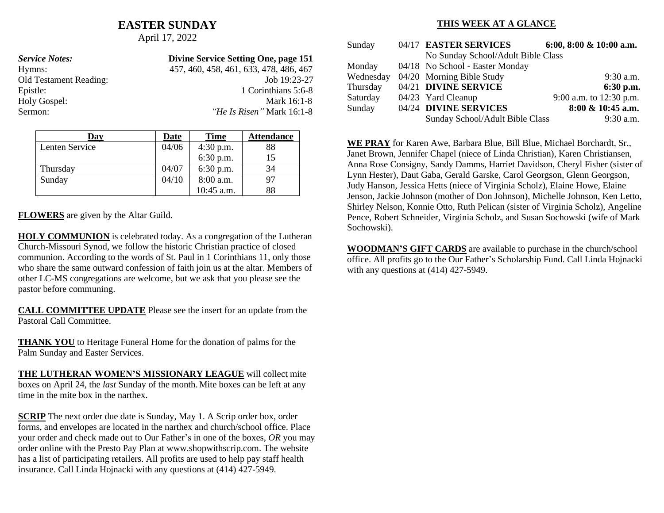## **EASTER SUNDAY**

April 17, 2022

| <b>Service Notes:</b>  | Divine Service Setting One, page 151   |
|------------------------|----------------------------------------|
| Hymns:                 | 457, 460, 458, 461, 633, 478, 486, 467 |
| Old Testament Reading: | Job $19:23-27$                         |
| Epistle:               | 1 Corinthians 5:6-8                    |
| Holy Gospel:           | Mark 16:1-8                            |
| Sermon:                | <i>He Is Risen</i> " Mark 16:1-8       |

| Day            | Date  | <b>Time</b> | <b>Attendance</b> |
|----------------|-------|-------------|-------------------|
| Lenten Service | 04/06 | 4:30 p.m.   | 88                |
|                |       | $6:30$ p.m. | 15                |
| Thursday       | 04/07 | $6:30$ p.m. | 34                |
| Sunday         | 04/10 | 8:00 a.m.   | 97                |
|                |       | 10:45 a.m.  | 88                |

**FLOWERS** are given by the Altar Guild.

**HOLY COMMUNION** is celebrated today. As a congregation of the Lutheran Church-Missouri Synod, we follow the historic Christian practice of closed communion. According to the words of St. Paul in 1 Corinthians 11, only those who share the same outward confession of faith join us at the altar. Members of other LC-MS congregations are welcome, but we ask that you please see the pastor before communing.

**CALL COMMITTEE UPDATE** Please see the insert for an update from the Pastoral Call Committee.

**THANK YOU** to Heritage Funeral Home for the donation of palms for the Palm Sunday and Easter Services.

**THE LUTHERAN WOMEN'S MISSIONARY LEAGUE** will collect mite boxes on April 24, the *last* Sunday of the month. Mite boxes can be left at any time in the mite box in the narthex.

**SCRIP** The next order due date is Sunday, May 1. A Scrip order box, order forms, and envelopes are located in the narthex and church/school office. Place your order and check made out to Our Father's in one of the boxes, *OR* you may order online with the Presto Pay Plan at www.shopwithscrip.com. The website has a list of participating retailers. All profits are used to help pay staff health insurance. Call Linda Hojnacki with any questions at (414) 427-5949.

#### **THIS WEEK AT A GLANCE**

| Sunday    | 04/17 EASTER SERVICES              | 6:00, 8:00 & 10:00 a.m. |
|-----------|------------------------------------|-------------------------|
|           | No Sunday School/Adult Bible Class |                         |
| Monday    | 04/18 No School - Easter Monday    |                         |
| Wednesday | 04/20 Morning Bible Study          | 9:30 a.m.               |
| Thursday  | 04/21 DIVINE SERVICE               | $6:30$ p.m.             |
| Saturday  | 04/23 Yard Cleanup                 | 9:00 a.m. to 12:30 p.m. |
| Sunday    | 04/24 DIVINE SERVICES              | 8:00 & 10:45 a.m.       |
|           | Sunday School/Adult Bible Class    | $9:30$ a.m.             |

**WE PRAY** for Karen Awe, Barbara Blue, Bill Blue, Michael Borchardt, Sr., Janet Brown, Jennifer Chapel (niece of Linda Christian), Karen Christiansen, Anna Rose Consigny, Sandy Damms, Harriet Davidson, Cheryl Fisher (sister of Lynn Hester), Daut Gaba, Gerald Garske, Carol Georgson, Glenn Georgson, Judy Hanson, Jessica Hetts (niece of Virginia Scholz), Elaine Howe, Elaine Jenson, Jackie Johnson (mother of Don Johnson), Michelle Johnson, Ken Letto, Shirley Nelson, Konnie Otto, Ruth Pelican (sister of Virginia Scholz), Angeline Pence, Robert Schneider, Virginia Scholz, and Susan Sochowski (wife of Mark Sochowski).

**WOODMAN'S GIFT CARDS** are available to purchase in the church/school office. All profits go to the Our Father's Scholarship Fund. Call Linda Hojnacki with any questions at (414) 427-5949.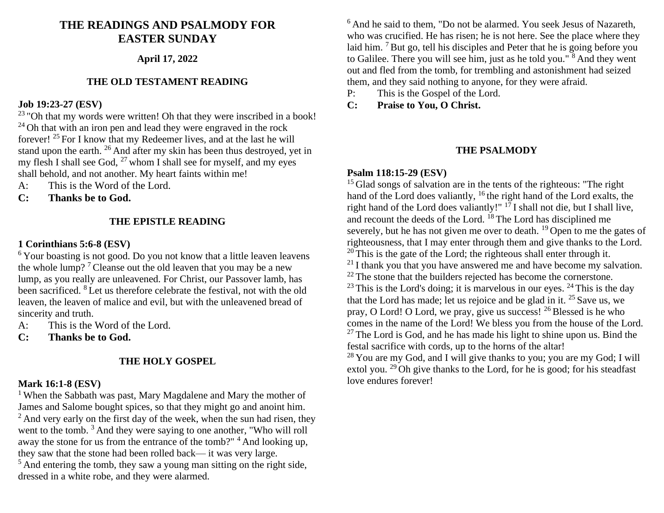# **THE READINGS AND PSALMODY FOR EASTER SUNDAY**

#### **April 17, 2022**

### **THE OLD TESTAMENT READING**

## **Job 19:23-27 (ESV)**

 $23$  "Oh that my words were written! Oh that they were inscribed in a book!  $24$  Oh that with an iron pen and lead they were engraved in the rock forever!  $25$  For I know that my Redeemer lives, and at the last he will stand upon the earth. <sup>26</sup> And after my skin has been thus destroyed, yet in my flesh I shall see God,  $^{27}$  whom I shall see for myself, and my eyes shall behold, and not another. My heart faints within me!

- A: This is the Word of the Lord.
- **C: Thanks be to God.**

#### **THE EPISTLE READING**

#### **1 Corinthians 5:6-8 (ESV)**

<sup>6</sup>Your boasting is not good. Do you not know that a little leaven leavens the whole lump?<sup>7</sup> Cleanse out the old leaven that you may be a new lump, as you really are unleavened. For Christ, our Passover lamb, has been sacrificed. <sup>8</sup> Let us therefore celebrate the festival, not with the old leaven, the leaven of malice and evil, but with the unleavened bread of sincerity and truth.

A: This is the Word of the Lord.

**C: Thanks be to God.**

#### **THE HOLY GOSPEL**

#### **Mark 16:1-8 (ESV)**

<sup>1</sup> When the Sabbath was past, Mary Magdalene and Mary the mother of James and Salome bought spices, so that they might go and anoint him.  $2$ And very early on the first day of the week, when the sun had risen, they went to the tomb. <sup>3</sup> And they were saying to one another, "Who will roll away the stone for us from the entrance of the tomb?" <sup>4</sup> And looking up, they saw that the stone had been rolled back— it was very large.  $<sup>5</sup>$  And entering the tomb, they saw a young man sitting on the right side,</sup> dressed in a white robe, and they were alarmed.

 $6$ And he said to them, "Do not be alarmed. You seek Jesus of Nazareth, who was crucified. He has risen; he is not here. See the place where they laid him. <sup>7</sup> But go, tell his disciples and Peter that he is going before you to Galilee. There you will see him, just as he told you." <sup>8</sup> And they went out and fled from the tomb, for trembling and astonishment had seized them, and they said nothing to anyone, for they were afraid.

P: This is the Gospel of the Lord.

**C: Praise to You, O Christ.**

#### **THE PSALMODY**

#### **Psalm 118:15-29 (ESV)**

<sup>15</sup>Glad songs of salvation are in the tents of the righteous: "The right hand of the Lord does valiantly,  $16$  the right hand of the Lord exalts, the right hand of the Lord does valiantly!" <sup>17</sup>I shall not die, but I shall live, and recount the deeds of the Lord. <sup>18</sup>The Lord has disciplined me severely, but he has not given me over to death. <sup>19</sup> Open to me the gates of righteousness, that I may enter through them and give thanks to the Lord.  $20$  This is the gate of the Lord; the righteous shall enter through it.  $21$ I thank you that you have answered me and have become my salvation.  $22$  The stone that the builders rejected has become the cornerstone.  $^{23}$  This is the Lord's doing; it is marvelous in our eyes.  $^{24}$  This is the day that the Lord has made; let us rejoice and be glad in it.  $25$  Save us, we pray, O Lord! O Lord, we pray, give us success!  $^{26}$  Blessed is he who comes in the name of the Lord! We bless you from the house of the Lord.  $27$ The Lord is God, and he has made his light to shine upon us. Bind the festal sacrifice with cords, up to the horns of the altar!

 $28$  You are my God, and I will give thanks to you; you are my God; I will extol you. <sup>29</sup>Oh give thanks to the Lord, for he is good; for his steadfast love endures forever!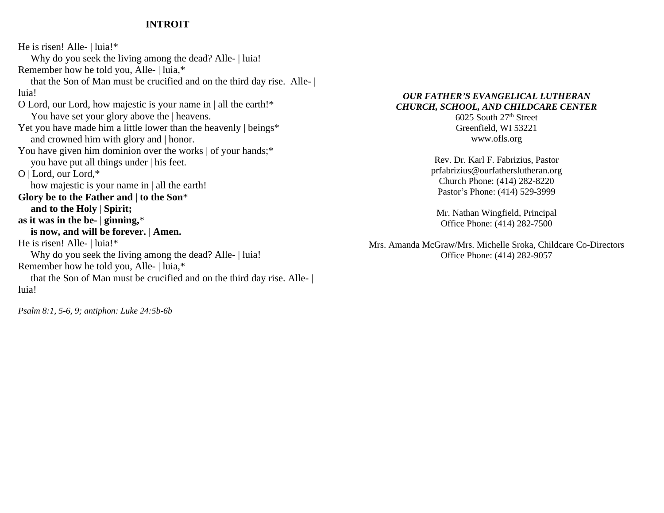#### **INTROIT**

He is risen! Alle- | luia!\* Why do you seek the living among the dead? Alle- | luia! Remember how he told you, Alle- | luia,\* that the Son of Man must be crucified and on the third day rise. Alle- | luia! O Lord, our Lord, how majestic is your name in | all the earth!\* You have set your glory above the | heavens. Yet you have made him a little lower than the heavenly | beings\* and crowned him with glory and | honor. You have given him dominion over the works  $\vert$  of your hands;<sup>\*</sup> you have put all things under | his feet. O | Lord, our Lord,\* how majestic is your name in | all the earth! **Glory be to the Father and** | **to the Son**\*  **and to the Holy** | **Spirit; as it was in the be-** | **ginning,**\*  **is now, and will be forever.** | **Amen.** He is risen! Alle- | luia!\* Why do you seek the living among the dead? Alle- | luia! Remember how he told you, Alle- | luia,\* that the Son of Man must be crucified and on the third day rise. Alle- | luia!

*Psalm 8:1, 5-6, 9; antiphon: Luke 24:5b-6b*

#### *OUR FATHER'S EVANGELICAL LUTHERAN CHURCH, SCHOOL, AND CHILDCARE CENTER*

6025 South 27<sup>th</sup> Street Greenfield, WI 53221 www.ofls.org

Rev. Dr. Karl F. Fabrizius, Pastor prfabrizius@ourfatherslutheran.org Church Phone: (414) 282-8220 Pastor's Phone: (414) 529-3999

Mr. Nathan Wingfield, Principal Office Phone: (414) 282-7500

Mrs. Amanda McGraw/Mrs. Michelle Sroka, Childcare Co-Directors Office Phone: (414) 282-9057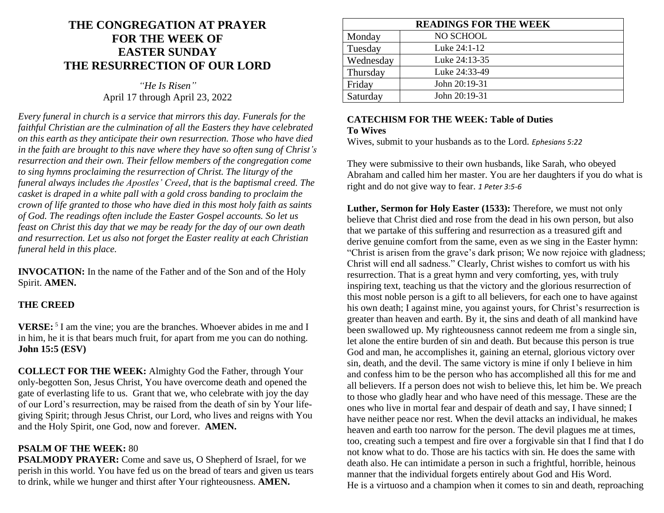# **THE CONGREGATION AT PRAYER FOR THE WEEK OF EASTER SUNDAY THE RESURRECTION OF OUR LORD**

*"He Is Risen"* April 17 through April 23, 2022

*Every funeral in church is a service that mirrors this day. Funerals for the faithful Christian are the culmination of all the Easters they have celebrated on this earth as they anticipate their own resurrection. Those who have died in the faith are brought to this nave where they have so often sung of Christ's resurrection and their own. Their fellow members of the congregation come to sing hymns proclaiming the resurrection of Christ. The liturgy of the funeral always includes the Apostles' Creed, that is the baptismal creed. The casket is draped in a white pall with a gold cross banding to proclaim the crown of life granted to those who have died in this most holy faith as saints of God. The readings often include the Easter Gospel accounts. So let us feast on Christ this day that we may be ready for the day of our own death and resurrection. Let us also not forget the Easter reality at each Christian funeral held in this place.*

**INVOCATION:** In the name of the Father and of the Son and of the Holy Spirit. **AMEN.**

#### **THE CREED**

**VERSE:**<sup>5</sup> I am the vine; you are the branches. Whoever abides in me and I in him, he it is that bears much fruit, for apart from me you can do nothing. **John 15:5 (ESV)**

**COLLECT FOR THE WEEK:** Almighty God the Father, through Your only-begotten Son, Jesus Christ, You have overcome death and opened the gate of everlasting life to us. Grant that we, who celebrate with joy the day of our Lord's resurrection, may be raised from the death of sin by Your lifegiving Spirit; through Jesus Christ, our Lord, who lives and reigns with You and the Holy Spirit, one God, now and forever. **AMEN.**

### **PSALM OF THE WEEK:** 80

**PSALMODY PRAYER:** Come and save us, O Shepherd of Israel, for we perish in this world. You have fed us on the bread of tears and given us tears to drink, while we hunger and thirst after Your righteousness. **AMEN.**

| <b>READINGS FOR THE WEEK</b> |               |
|------------------------------|---------------|
| Monday                       | NO SCHOOL     |
| Tuesday                      | Luke 24:1-12  |
| Wednesday                    | Luke 24:13-35 |
| Thursday                     | Luke 24:33-49 |
| Friday                       | John 20:19-31 |
| Saturday                     | John 20:19-31 |

# **CATECHISM FOR THE WEEK: Table of Duties To Wives**

Wives, submit to your husbands as to the Lord. *Ephesians 5:22*

They were submissive to their own husbands, like Sarah, who obeyed Abraham and called him her master. You are her daughters if you do what is right and do not give way to fear. *1 Peter 3:5-6*

**Luther, Sermon for Holy Easter (1533):** Therefore, we must not only believe that Christ died and rose from the dead in his own person, but also that we partake of this suffering and resurrection as a treasured gift and derive genuine comfort from the same, even as we sing in the Easter hymn: "Christ is arisen from the grave's dark prison; We now rejoice with gladness; Christ will end all sadness." Clearly, Christ wishes to comfort us with his resurrection. That is a great hymn and very comforting, yes, with truly inspiring text, teaching us that the victory and the glorious resurrection of this most noble person is a gift to all believers, for each one to have against his own death; I against mine, you against yours, for Christ's resurrection is greater than heaven and earth. By it, the sins and death of all mankind have been swallowed up. My righteousness cannot redeem me from a single sin, let alone the entire burden of sin and death. But because this person is true God and man, he accomplishes it, gaining an eternal, glorious victory over sin, death, and the devil. The same victory is mine if only I believe in him and confess him to be the person who has accomplished all this for me and all believers. If a person does not wish to believe this, let him be. We preach to those who gladly hear and who have need of this message. These are the ones who live in mortal fear and despair of death and say, I have sinned; I have neither peace nor rest. When the devil attacks an individual, he makes heaven and earth too narrow for the person. The devil plagues me at times, too, creating such a tempest and fire over a forgivable sin that I find that I do not know what to do. Those are his tactics with sin. He does the same with death also. He can intimidate a person in such a frightful, horrible, heinous manner that the individual forgets entirely about God and His Word. He is a virtuoso and a champion when it comes to sin and death, reproaching